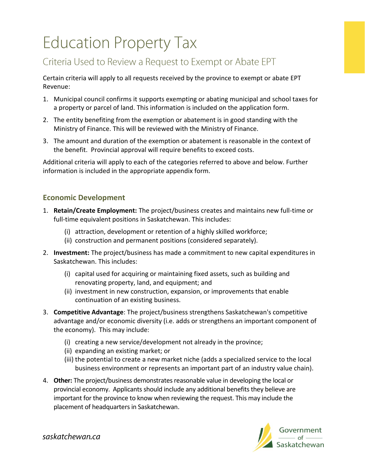# **Education Property Tax**

## Criteria Used to Review a Request to Exempt or Abate EPT

Certain criteria will apply to all requests received by the province to exempt or abate EPT Revenue:

- 1. Municipal council confirms it supports exempting or abating municipal and school taxes for a property or parcel of land. This information is included on the application form.
- 2. The entity benefiting from the exemption or abatement is in good standing with the Ministry of Finance. This will be reviewed with the Ministry of Finance.
- 3. The amount and duration of the exemption or abatement is reasonable in the context of the benefit. Provincial approval will require benefits to exceed costs.

Additional criteria will apply to each of the categories referred to above and below. Further information is included in the appropriate appendix form.

### **Economic Development**

- 1. **Retain/Create Employment:** The project/business creates and maintains new full-time or full-time equivalent positions in Saskatchewan. This includes:
	- (i) attraction, development or retention of a highly skilled workforce;
	- (ii) construction and permanent positions (considered separately).
- 2. **Investment:** The project/business has made a commitment to new capital expenditures in Saskatchewan. This includes:
	- (i) capital used for acquiring or maintaining fixed assets, such as building and renovating property, land, and equipment; and
	- (ii) investment in new construction, expansion, or improvements that enable continuation of an existing business.
- 3. **Competitive Advantage**: The project/business strengthens Saskatchewan's competitive advantage and/or economic diversity (i.e. adds or strengthens an important component of the economy). This may include:
	- (i) creating a new service/development not already in the province;
	- (ii) expanding an existing market; or
	- (iii) the potential to create a new market niche (adds a specialized service to the local business environment or represents an important part of an industry value chain).
- 4. **Other:** The project/business demonstrates reasonable value in developing the local or provincial economy. Applicants should include any additional benefits they believe are important for the province to know when reviewing the request. This may include the placement of headquarters in Saskatchewan.



saskatchewan.ca